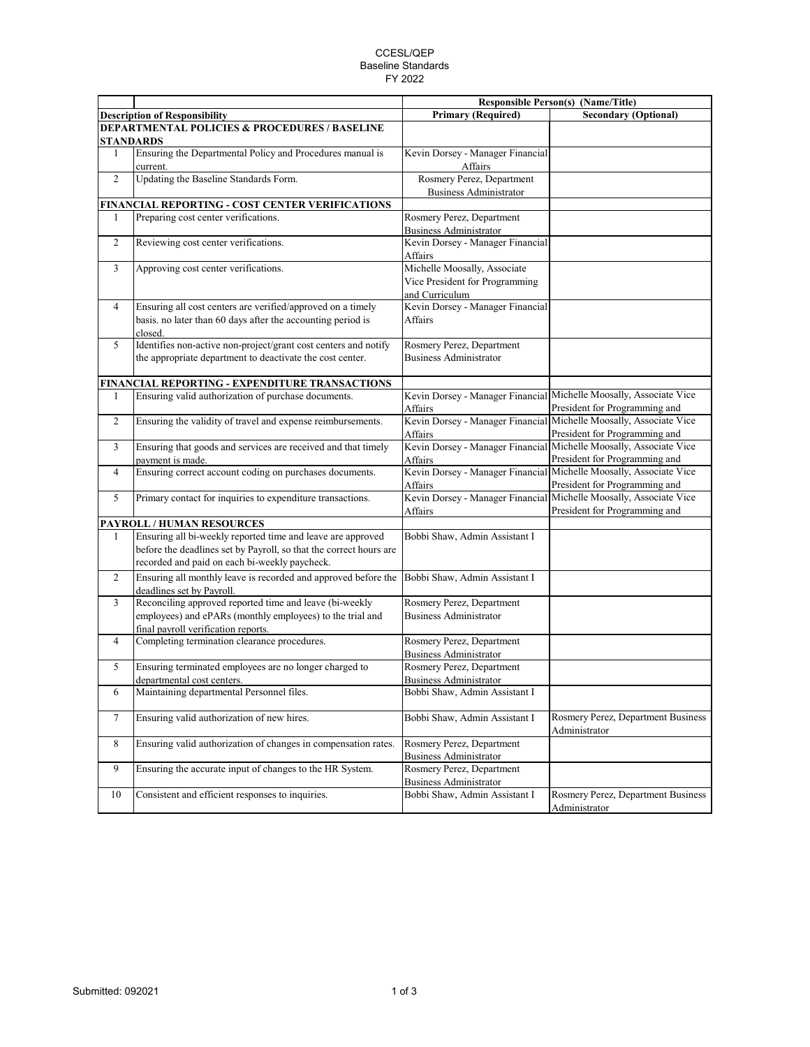## CCESL/QEP Baseline Standards FY 2022

|                                                          |                                                                                      | <b>Responsible Person(s) (Name/Title)</b>                  |                                                                                                     |  |  |  |
|----------------------------------------------------------|--------------------------------------------------------------------------------------|------------------------------------------------------------|-----------------------------------------------------------------------------------------------------|--|--|--|
|                                                          | <b>Description of Responsibility</b>                                                 | <b>Primary (Required)</b>                                  | <b>Secondary (Optional)</b>                                                                         |  |  |  |
| <b>DEPARTMENTAL POLICIES &amp; PROCEDURES / BASELINE</b> |                                                                                      |                                                            |                                                                                                     |  |  |  |
|                                                          | <b>STANDARDS</b>                                                                     |                                                            |                                                                                                     |  |  |  |
| 1                                                        | Ensuring the Departmental Policy and Procedures manual is<br>current.                | Kevin Dorsey - Manager Financial<br>Affairs                |                                                                                                     |  |  |  |
| $\overline{2}$                                           | Updating the Baseline Standards Form.                                                | Rosmery Perez, Department<br><b>Business Administrator</b> |                                                                                                     |  |  |  |
|                                                          | FINANCIAL REPORTING - COST CENTER VERIFICATIONS                                      |                                                            |                                                                                                     |  |  |  |
| 1                                                        | Preparing cost center verifications.                                                 | Rosmery Perez, Department                                  |                                                                                                     |  |  |  |
|                                                          |                                                                                      | <b>Business Administrator</b>                              |                                                                                                     |  |  |  |
| $\overline{c}$                                           | Reviewing cost center verifications.                                                 | Kevin Dorsey - Manager Financial                           |                                                                                                     |  |  |  |
|                                                          |                                                                                      | Affairs                                                    |                                                                                                     |  |  |  |
| 3                                                        | Approving cost center verifications.                                                 | Michelle Moosally, Associate                               |                                                                                                     |  |  |  |
|                                                          |                                                                                      | Vice President for Programming                             |                                                                                                     |  |  |  |
|                                                          |                                                                                      | and Curriculum                                             |                                                                                                     |  |  |  |
| $\overline{4}$                                           | Ensuring all cost centers are verified/approved on a timely                          | Kevin Dorsey - Manager Financial                           |                                                                                                     |  |  |  |
|                                                          | basis. no later than 60 days after the accounting period is                          | Affairs                                                    |                                                                                                     |  |  |  |
|                                                          | closed.                                                                              |                                                            |                                                                                                     |  |  |  |
| 5                                                        | Identifies non-active non-project/grant cost centers and notify                      | Rosmery Perez, Department                                  |                                                                                                     |  |  |  |
|                                                          | the appropriate department to deactivate the cost center.                            | <b>Business Administrator</b>                              |                                                                                                     |  |  |  |
|                                                          | FINANCIAL REPORTING - EXPENDITURE TRANSACTIONS                                       |                                                            |                                                                                                     |  |  |  |
| 1                                                        | Ensuring valid authorization of purchase documents.                                  |                                                            | Kevin Dorsey - Manager Financial Michelle Moosally, Associate Vice                                  |  |  |  |
|                                                          |                                                                                      | Affairs                                                    | President for Programming and                                                                       |  |  |  |
| $\overline{2}$                                           | Ensuring the validity of travel and expense reimbursements.                          |                                                            | Kevin Dorsey - Manager Financial Michelle Moosally, Associate Vice                                  |  |  |  |
|                                                          |                                                                                      | Affairs                                                    | President for Programming and                                                                       |  |  |  |
| 3                                                        | Ensuring that goods and services are received and that timely                        | Kevin Dorsey - Manager Financial                           | Michelle Moosally, Associate Vice                                                                   |  |  |  |
|                                                          | payment is made.                                                                     | Affairs                                                    | President for Programming and                                                                       |  |  |  |
| $\overline{4}$                                           | Ensuring correct account coding on purchases documents.                              | Affairs                                                    | Kevin Dorsey - Manager Financial Michelle Moosally, Associate Vice<br>President for Programming and |  |  |  |
| 5                                                        | Primary contact for inquiries to expenditure transactions.                           |                                                            | Kevin Dorsey - Manager Financial Michelle Moosally, Associate Vice                                  |  |  |  |
|                                                          |                                                                                      | Affairs                                                    | President for Programming and                                                                       |  |  |  |
|                                                          | PAYROLL / HUMAN RESOURCES                                                            |                                                            |                                                                                                     |  |  |  |
| 1                                                        | Ensuring all bi-weekly reported time and leave are approved                          | Bobbi Shaw, Admin Assistant I                              |                                                                                                     |  |  |  |
|                                                          | before the deadlines set by Payroll, so that the correct hours are                   |                                                            |                                                                                                     |  |  |  |
|                                                          | recorded and paid on each bi-weekly paycheck.                                        |                                                            |                                                                                                     |  |  |  |
| $\overline{2}$                                           | Ensuring all monthly leave is recorded and approved before the                       | Bobbi Shaw, Admin Assistant I                              |                                                                                                     |  |  |  |
| 3                                                        | deadlines set by Payroll.<br>Reconciling approved reported time and leave (bi-weekly | Rosmery Perez, Department                                  |                                                                                                     |  |  |  |
|                                                          | employees) and ePARs (monthly employees) to the trial and                            | <b>Business Administrator</b>                              |                                                                                                     |  |  |  |
|                                                          | final payroll verification reports.                                                  |                                                            |                                                                                                     |  |  |  |
| $\overline{4}$                                           | Completing termination clearance procedures.                                         | Rosmery Perez, Department                                  |                                                                                                     |  |  |  |
|                                                          |                                                                                      | <b>Business Administrator</b>                              |                                                                                                     |  |  |  |
| 5                                                        | Ensuring terminated employees are no longer charged to                               | Rosmery Perez, Department                                  |                                                                                                     |  |  |  |
|                                                          | departmental cost centers.                                                           | <b>Business Administrator</b>                              |                                                                                                     |  |  |  |
| 6                                                        | Maintaining departmental Personnel files.                                            | Bobbi Shaw, Admin Assistant I                              |                                                                                                     |  |  |  |
| $\tau$                                                   | Ensuring valid authorization of new hires.                                           | Bobbi Shaw, Admin Assistant I                              | Rosmery Perez, Department Business<br>Administrator                                                 |  |  |  |
| 8                                                        | Ensuring valid authorization of changes in compensation rates.                       | Rosmery Perez, Department                                  |                                                                                                     |  |  |  |
|                                                          |                                                                                      | <b>Business Administrator</b>                              |                                                                                                     |  |  |  |
| 9                                                        | Ensuring the accurate input of changes to the HR System.                             | Rosmery Perez, Department                                  |                                                                                                     |  |  |  |
|                                                          |                                                                                      | <b>Business Administrator</b>                              |                                                                                                     |  |  |  |
| 10                                                       | Consistent and efficient responses to inquiries.                                     | Bobbi Shaw, Admin Assistant I                              | Rosmery Perez, Department Business<br>Administrator                                                 |  |  |  |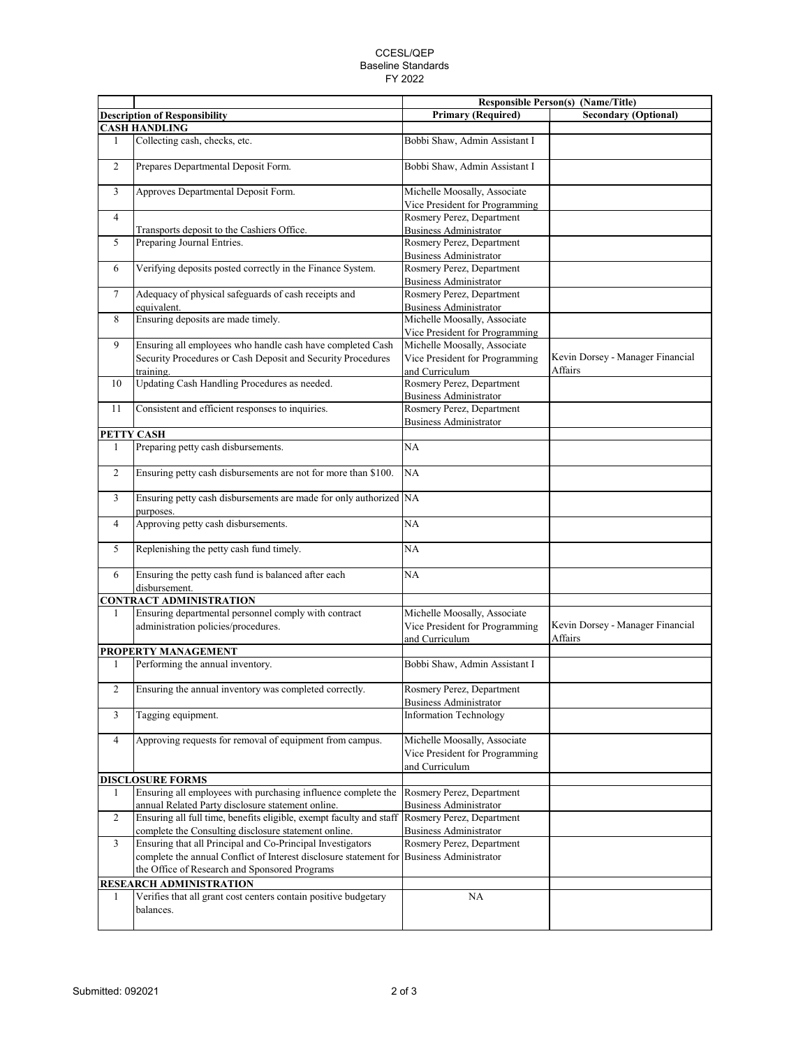## CCESL/QEP Baseline Standards FY 2022

|                |                                                                                |                                                                | <b>Responsible Person(s) (Name/Title)</b>   |
|----------------|--------------------------------------------------------------------------------|----------------------------------------------------------------|---------------------------------------------|
|                | <b>Description of Responsibility</b>                                           | <b>Primary (Required)</b>                                      | <b>Secondary (Optional)</b>                 |
|                | <b>CASH HANDLING</b>                                                           |                                                                |                                             |
| $\mathbf{1}$   | Collecting cash, checks, etc.                                                  | Bobbi Shaw, Admin Assistant I                                  |                                             |
| $\overline{c}$ | Prepares Departmental Deposit Form.                                            | Bobbi Shaw, Admin Assistant I                                  |                                             |
| 3              | Approves Departmental Deposit Form.                                            | Michelle Moosally, Associate<br>Vice President for Programming |                                             |
| $\overline{4}$ |                                                                                | Rosmery Perez, Department                                      |                                             |
|                | Transports deposit to the Cashiers Office.                                     | <b>Business Administrator</b>                                  |                                             |
| 5              | Preparing Journal Entries.                                                     | Rosmery Perez, Department                                      |                                             |
| 6              | Verifying deposits posted correctly in the Finance System.                     | <b>Business Administrator</b><br>Rosmery Perez, Department     |                                             |
|                |                                                                                | <b>Business Administrator</b>                                  |                                             |
| 7              | Adequacy of physical safeguards of cash receipts and                           | Rosmery Perez, Department                                      |                                             |
|                | equivalent.                                                                    | <b>Business Administrator</b>                                  |                                             |
| 8              | Ensuring deposits are made timely.                                             | Michelle Moosally, Associate                                   |                                             |
|                |                                                                                | Vice President for Programming                                 |                                             |
| 9              | Ensuring all employees who handle cash have completed Cash                     | Michelle Moosally, Associate                                   |                                             |
|                | Security Procedures or Cash Deposit and Security Procedures                    | Vice President for Programming                                 | Kevin Dorsey - Manager Financial            |
|                | training.                                                                      | and Curriculum                                                 | Affairs                                     |
| 10             | Updating Cash Handling Procedures as needed.                                   | Rosmery Perez, Department<br><b>Business Administrator</b>     |                                             |
|                |                                                                                | Rosmery Perez, Department                                      |                                             |
| 11             | Consistent and efficient responses to inquiries.                               | <b>Business Administrator</b>                                  |                                             |
|                | PETTY CASH                                                                     |                                                                |                                             |
| $\mathbf{1}$   | Preparing petty cash disbursements.                                            | NA                                                             |                                             |
| $\overline{c}$ | Ensuring petty cash disbursements are not for more than \$100.                 | NA                                                             |                                             |
| 3              | Ensuring petty cash disbursements are made for only authorized NA<br>purposes. |                                                                |                                             |
| 4              | Approving petty cash disbursements.                                            | NA                                                             |                                             |
| 5              | Replenishing the petty cash fund timely.                                       | NA                                                             |                                             |
| 6              | Ensuring the petty cash fund is balanced after each<br>disbursement.           | NA                                                             |                                             |
|                | <b>CONTRACT ADMINISTRATION</b>                                                 |                                                                |                                             |
| $\mathbf{1}$   | Ensuring departmental personnel comply with contract                           | Michelle Moosally, Associate                                   |                                             |
|                | administration policies/procedures.                                            | Vice President for Programming<br>and Curriculum               | Kevin Dorsey - Manager Financial<br>Affairs |
|                | PROPERTY MANAGEMENT                                                            |                                                                |                                             |
| 1              | Performing the annual inventory.                                               | Bobbi Shaw, Admin Assistant I                                  |                                             |
| 2              | Ensuring the annual inventory was completed correctly.                         | Rosmery Perez, Department<br><b>Business Administrator</b>     |                                             |
| 3              | Tagging equipment.                                                             | <b>Information Technology</b>                                  |                                             |
| $\overline{4}$ | Approving requests for removal of equipment from campus.                       | Michelle Moosally, Associate                                   |                                             |
|                |                                                                                | Vice President for Programming<br>and Curriculum               |                                             |
|                | <b>DISCLOSURE FORMS</b>                                                        |                                                                |                                             |
| 1              | Ensuring all employees with purchasing influence complete the                  | Rosmery Perez, Department                                      |                                             |
|                | annual Related Party disclosure statement online.                              | <b>Business Administrator</b>                                  |                                             |
| $\mathbf{2}$   | Ensuring all full time, benefits eligible, exempt faculty and staff            | Rosmery Perez, Department                                      |                                             |
|                | complete the Consulting disclosure statement online.                           | <b>Business Administrator</b>                                  |                                             |
| 3              | Ensuring that all Principal and Co-Principal Investigators                     | Rosmery Perez, Department                                      |                                             |
|                | complete the annual Conflict of Interest disclosure statement for              | <b>Business Administrator</b>                                  |                                             |
|                | the Office of Research and Sponsored Programs                                  |                                                                |                                             |
|                | RESEARCH ADMINISTRATION                                                        |                                                                |                                             |
| 1              | Verifies that all grant cost centers contain positive budgetary<br>balances.   | NA                                                             |                                             |